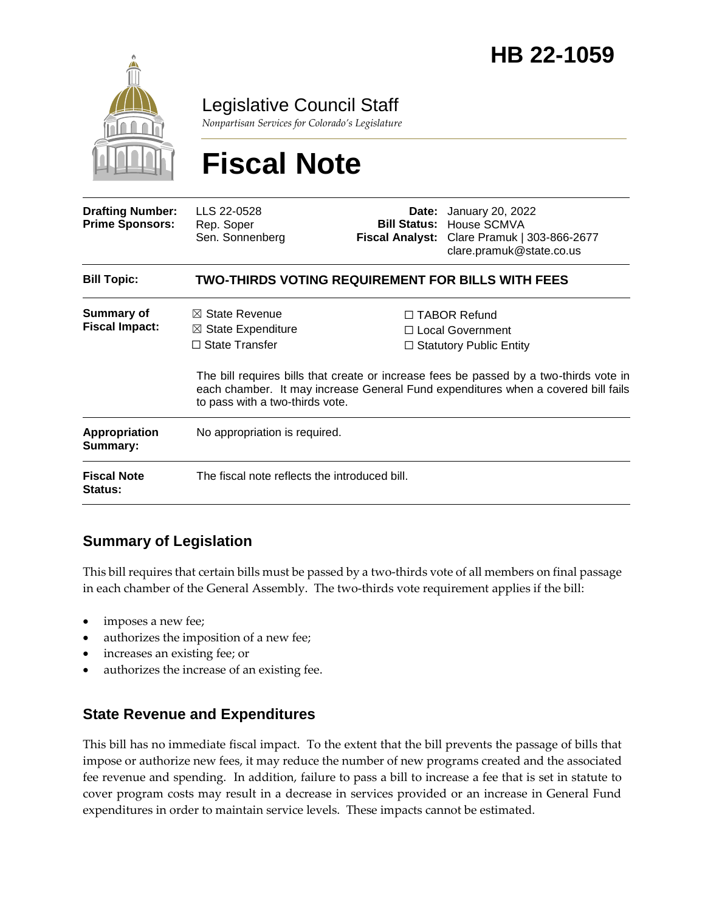

Legislative Council Staff

*Nonpartisan Services for Colorado's Legislature*

# **Fiscal Note**

| <b>Drafting Number:</b><br><b>Prime Sponsors:</b> | LLS 22-0528<br>Rep. Soper<br>Sen. Sonnenberg                                                                           |  | <b>Date:</b> January 20, 2022<br><b>Bill Status: House SCMVA</b><br>Fiscal Analyst: Clare Pramuk   303-866-2677<br>clare.pramuk@state.co.us                                                                                                                |  |
|---------------------------------------------------|------------------------------------------------------------------------------------------------------------------------|--|------------------------------------------------------------------------------------------------------------------------------------------------------------------------------------------------------------------------------------------------------------|--|
| <b>Bill Topic:</b>                                | TWO-THIRDS VOTING REQUIREMENT FOR BILLS WITH FEES                                                                      |  |                                                                                                                                                                                                                                                            |  |
| <b>Summary of</b><br><b>Fiscal Impact:</b>        | $\boxtimes$ State Revenue<br>$\boxtimes$ State Expenditure<br>$\Box$ State Transfer<br>to pass with a two-thirds vote. |  | $\Box$ TABOR Refund<br>□ Local Government<br>$\Box$ Statutory Public Entity<br>The bill requires bills that create or increase fees be passed by a two-thirds vote in<br>each chamber. It may increase General Fund expenditures when a covered bill fails |  |
| <b>Appropriation</b><br>Summary:                  | No appropriation is required.                                                                                          |  |                                                                                                                                                                                                                                                            |  |
| <b>Fiscal Note</b><br><b>Status:</b>              | The fiscal note reflects the introduced bill.                                                                          |  |                                                                                                                                                                                                                                                            |  |

## **Summary of Legislation**

This bill requires that certain bills must be passed by a two-thirds vote of all members on final passage in each chamber of the General Assembly. The two-thirds vote requirement applies if the bill:

- imposes a new fee;
- authorizes the imposition of a new fee;
- increases an existing fee; or
- authorizes the increase of an existing fee.

#### **State Revenue and Expenditures**

This bill has no immediate fiscal impact. To the extent that the bill prevents the passage of bills that impose or authorize new fees, it may reduce the number of new programs created and the associated fee revenue and spending. In addition, failure to pass a bill to increase a fee that is set in statute to cover program costs may result in a decrease in services provided or an increase in General Fund expenditures in order to maintain service levels. These impacts cannot be estimated.